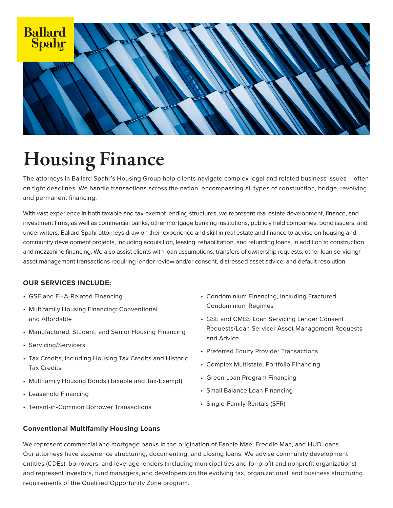

# Housing Finance

The attorneys in Ballard Spahr's Housing Group help clients navigate complex legal and related business issues – often on tight deadlines. We handle transactions across the nation, encompassing all types of construction, bridge, revolving, and permanent financing.

With vast experience in both taxable and tax-exempt lending structures, we represent real estate development, finance, and investment firms, as well as commercial banks, other mortgage banking institutions, publicly held companies, bond issuers, and underwriters. Ballard Spahr attorneys draw on their experience and skill in real estate and finance to advise on housing and community development projects, including acquisition, leasing, rehabilitation, and refunding loans, in addition to construction and mezzanine financing. We also assist clients with loan assumptions, transfers of ownership requests, other loan servicing/ asset management transactions requiring lender review and/or consent, distressed asset advice, and default resolution.

# **OUR SERVICES INCLUDE:**

- GSE and FHA-Related Financing
- Multifamily Housing Financing: Conventional and Affordable
- Manufactured, Student, and Senior Housing Financing
- Servicing/Servicers
- Tax Credits, including Housing Tax Credits and Historic Tax Credits
- Multifamily Housing Bonds (Taxable and Tax-Exempt)
- Leasehold Financing
- Tenant-in-Common Borrower Transactions
- Condominium Financing, including Fractured Condominium Regimes
- GSE and CMBS Loan Servicing Lender Consent Requests/Loan Servicer Asset Management Requests and Advice
- Preferred Equity Provider Transactions
- Complex Multistate, Portfolio Financing
- Green Loan Program Financing
- Small Balance Loan Financing
- Single-Family Rentals (SFR)

# **Conventional Multifamily Housing Loans**

We represent commercial and mortgage banks in the origination of Fannie Mae, Freddie Mac, and HUD loans. Our attorneys have experience structuring, documenting, and closing loans. We advise community development entities (CDEs), borrowers, and leverage lenders (including municipalities and for-profit and nonprofit organizations) and represent investors, fund managers, and developers on the evolving tax, organizational, and business structuring requirements of the Qualified Opportunity Zone program.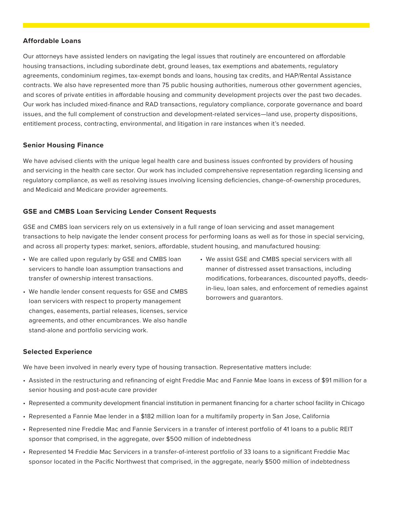#### **Affordable Loans**

Our attorneys have assisted lenders on navigating the legal issues that routinely are encountered on affordable housing transactions, including subordinate debt, ground leases, tax exemptions and abatements, regulatory agreements, condominium regimes, tax-exempt bonds and loans, housing tax credits, and HAP/Rental Assistance contracts. We also have represented more than 75 public housing authorities, numerous other government agencies, and scores of private entities in affordable housing and community development projects over the past two decades. Our work has included mixed-finance and RAD transactions, regulatory compliance, corporate governance and board issues, and the full complement of construction and development-related services—land use, property dispositions, entitlement process, contracting, environmental, and litigation in rare instances when it's needed.

#### **Senior Housing Finance**

We have advised clients with the unique legal health care and business issues confronted by providers of housing and servicing in the health care sector. Our work has included comprehensive representation regarding licensing and regulatory compliance, as well as resolving issues involving licensing deficiencies, change-of-ownership procedures, and Medicaid and Medicare provider agreements.

# **GSE and CMBS Loan Servicing Lender Consent Requests**

GSE and CMBS loan servicers rely on us extensively in a full range of loan servicing and asset management transactions to help navigate the lender consent process for performing loans as well as for those in special servicing, and across all property types: market, seniors, affordable, student housing, and manufactured housing:

- We are called upon regularly by GSE and CMBS loan servicers to handle loan assumption transactions and transfer of ownership interest transactions.
- We handle lender consent requests for GSE and CMBS loan servicers with respect to property management changes, easements, partial releases, licenses, service agreements, and other encumbrances. We also handle stand-alone and portfolio servicing work.
- We assist GSE and CMBS special servicers with all manner of distressed asset transactions, including modifications, forbearances, discounted payoffs, deedsin-lieu, loan sales, and enforcement of remedies against borrowers and guarantors.

#### **Selected Experience**

We have been involved in nearly every type of housing transaction. Representative matters include:

- Assisted in the restructuring and refinancing of eight Freddie Mac and Fannie Mae loans in excess of \$91 million for a senior housing and post-acute care provider
- Represented a community development financial institution in permanent financing for a charter school facility in Chicago
- Represented a Fannie Mae lender in a \$182 million loan for a multifamily property in San Jose, California
- Represented nine Freddie Mac and Fannie Servicers in a transfer of interest portfolio of 41 loans to a public REIT sponsor that comprised, in the aggregate, over \$500 million of indebtedness
- Represented 14 Freddie Mac Servicers in a transfer-of-interest portfolio of 33 loans to a significant Freddie Mac sponsor located in the Pacific Northwest that comprised, in the aggregate, nearly \$500 million of indebtedness